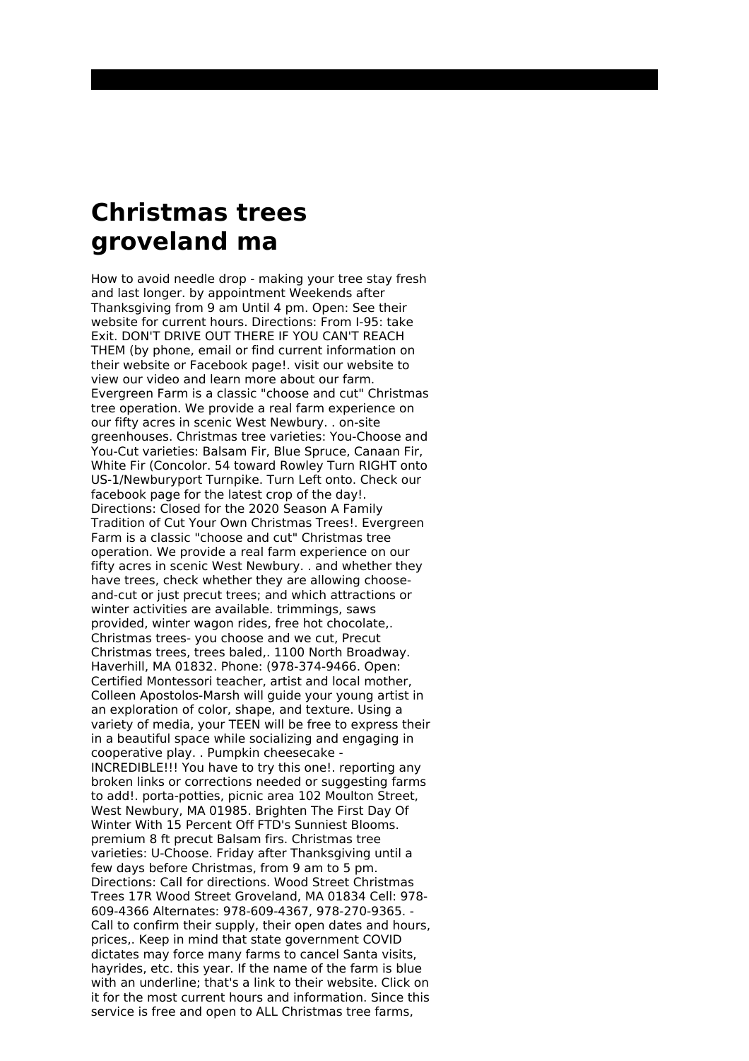## **Christmas trees groveland ma**

How to avoid needle drop - making your tree stay fresh and last longer. by appointment Weekends after Thanksgiving from 9 am Until 4 pm. Open: See their website for current hours. Directions: From I-95: take Exit. DON'T DRIVE OUT THERE IF YOU CAN'T REACH THEM (by phone, email or find current information on their website or Facebook page!. visit our website to view our video and learn more about our farm. Evergreen Farm is a classic "choose and cut" Christmas tree operation. We provide a real farm experience on our fifty acres in scenic West Newbury. . on-site greenhouses. Christmas tree varieties: You-Choose and You-Cut varieties: Balsam Fir, Blue Spruce, Canaan Fir, White Fir (Concolor. 54 toward Rowley Turn RIGHT onto US-1/Newburyport Turnpike. Turn Left onto. Check our facebook page for the latest crop of the day!. Directions: Closed for the 2020 Season A Family Tradition of Cut Your Own Christmas Trees!. Evergreen Farm is a classic "choose and cut" Christmas tree operation. We provide a real farm experience on our fifty acres in scenic West Newbury. . and whether they have trees, check whether they are allowing chooseand-cut or just precut trees; and which attractions or winter activities are available. trimmings, saws provided, winter wagon rides, free hot chocolate,. Christmas trees- you choose and we cut, Precut Christmas trees, trees baled,. 1100 North Broadway. Haverhill, MA 01832. Phone: (978-374-9466. Open: Certified Montessori teacher, artist and local mother, Colleen Apostolos-Marsh will guide your young artist in an exploration of color, shape, and texture. Using a variety of media, your TEEN will be free to express their in a beautiful space while socializing and engaging in cooperative play. . Pumpkin cheesecake - INCREDIBLE!!! You have to try this one!. reporting any broken links or corrections needed or suggesting farms to add!. porta-potties, picnic area 102 Moulton Street, West Newbury, MA 01985. Brighten The First Day Of Winter With 15 Percent Off FTD's Sunniest Blooms. premium 8 ft precut Balsam firs. Christmas tree varieties: U-Choose. Friday after Thanksgiving until a few days before Christmas, from 9 am to 5 pm. Directions: Call for directions. Wood Street Christmas Trees 17R Wood Street Groveland, MA 01834 Cell: 978- 609-4366 Alternates: 978-609-4367, 978-270-9365. - Call to confirm their supply, their open dates and hours, prices,. Keep in mind that state government COVID dictates may force many farms to cancel Santa visits, hayrides, etc. this year. If the name of the farm is blue with an underline; that's a link to their website. Click on it for the most current hours and information. Since this service is free and open to ALL Christmas tree farms,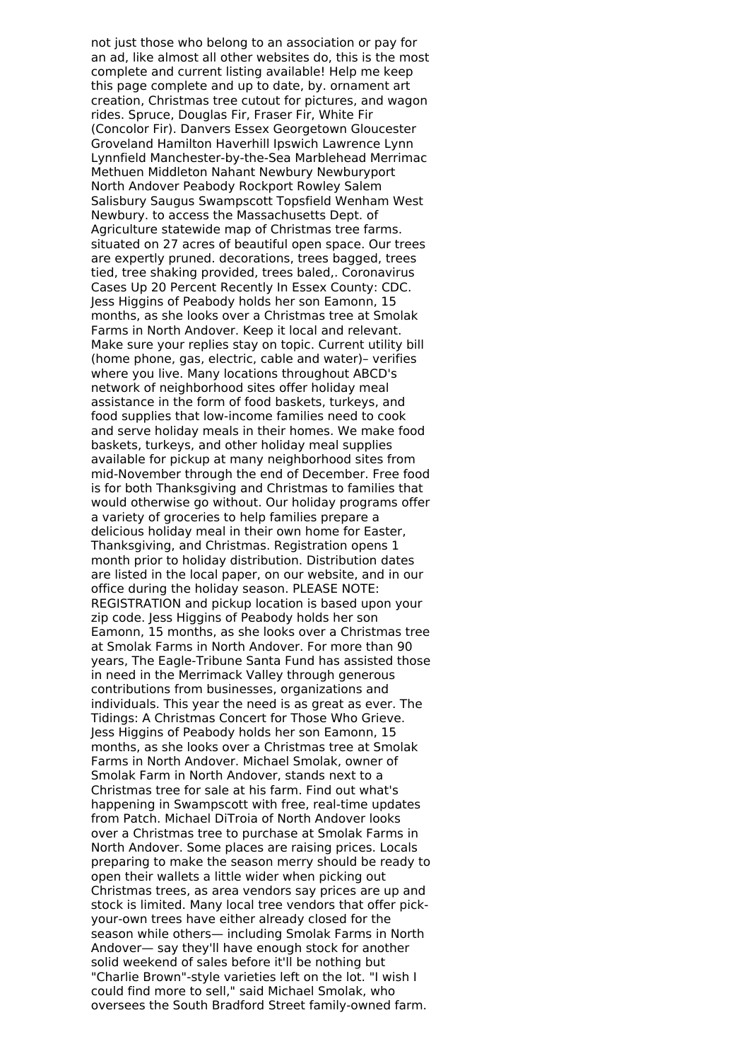not just those who belong to an association or pay for an ad, like almost all other websites do, this is the most complete and current listing available! Help me keep this page complete and up to date, by. ornament art creation, Christmas tree cutout for pictures, and wagon rides. Spruce, Douglas Fir, Fraser Fir, White Fir (Concolor Fir). Danvers Essex Georgetown Gloucester Groveland Hamilton Haverhill Ipswich Lawrence Lynn Lynnfield Manchester-by-the-Sea Marblehead Merrimac Methuen Middleton Nahant Newbury Newburyport North Andover Peabody Rockport Rowley Salem Salisbury Saugus Swampscott Topsfield Wenham West Newbury. to access the Massachusetts Dept. of Agriculture statewide map of Christmas tree farms. situated on 27 acres of beautiful open space. Our trees are expertly pruned. decorations, trees bagged, trees tied, tree shaking provided, trees baled,. Coronavirus Cases Up 20 Percent Recently In Essex County: CDC. Jess Higgins of Peabody holds her son Eamonn, 15 months, as she looks over a Christmas tree at Smolak Farms in North Andover. Keep it local and relevant. Make sure your replies stay on topic. Current utility bill (home phone, gas, electric, cable and water)– verifies where you live. Many locations throughout ABCD's network of neighborhood sites offer holiday meal assistance in the form of food baskets, turkeys, and food supplies that low-income families need to cook and serve holiday meals in their homes. We make food baskets, turkeys, and other holiday meal supplies available for pickup at many neighborhood sites from mid-November through the end of December. Free food is for both Thanksgiving and Christmas to families that would otherwise go without. Our holiday programs offer a variety of groceries to help families prepare a delicious holiday meal in their own home for Easter, Thanksgiving, and Christmas. Registration opens 1 month prior to holiday distribution. Distribution dates are listed in the local paper, on our website, and in our office during the holiday season. PLEASE NOTE: REGISTRATION and pickup location is based upon your zip code. Jess Higgins of Peabody holds her son Eamonn, 15 months, as she looks over a Christmas tree at Smolak Farms in North Andover. For more than 90 years, The Eagle-Tribune Santa Fund has assisted those in need in the Merrimack Valley through generous contributions from businesses, organizations and individuals. This year the need is as great as ever. The Tidings: A Christmas Concert for Those Who Grieve. Jess Higgins of Peabody holds her son Eamonn, 15 months, as she looks over a Christmas tree at Smolak Farms in North Andover. Michael Smolak, owner of Smolak Farm in North Andover, stands next to a Christmas tree for sale at his farm. Find out what's happening in Swampscott with free, real-time updates from Patch. Michael DiTroia of North Andover looks over a Christmas tree to purchase at Smolak Farms in North Andover. Some places are raising prices. Locals preparing to make the season merry should be ready to open their wallets a little wider when picking out Christmas trees, as area vendors say prices are up and stock is limited. Many local tree vendors that offer pickyour-own trees have either already closed for the season while others— including Smolak Farms in North Andover— say they'll have enough stock for another solid weekend of sales before it'll be nothing but "Charlie Brown"-style varieties left on the lot. "I wish I could find more to sell," said Michael Smolak, who oversees the South Bradford Street family-owned farm.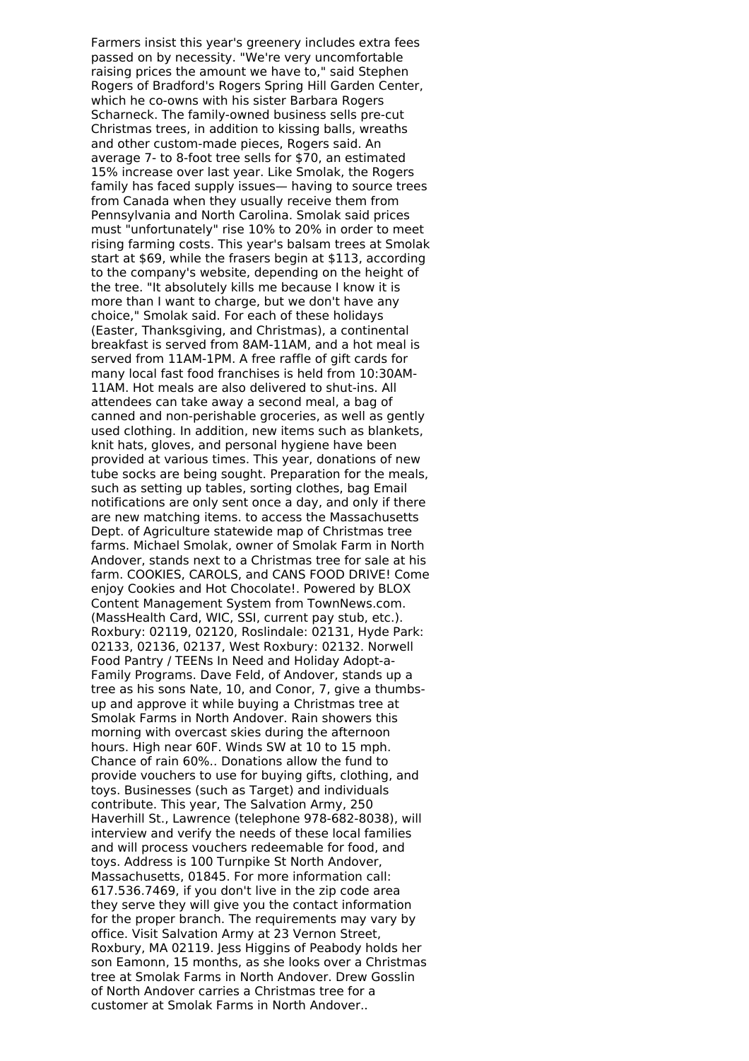Farmers insist this year's greenery includes extra fees passed on by necessity. "We're very uncomfortable raising prices the amount we have to," said Stephen Rogers of Bradford's Rogers Spring Hill Garden Center, which he co-owns with his sister Barbara Rogers Scharneck. The family-owned business sells pre-cut Christmas trees, in addition to kissing balls, wreaths and other custom-made pieces, Rogers said. An average 7- to 8-foot tree sells for \$70, an estimated 15% increase over last year. Like Smolak, the Rogers family has faced supply issues— having to source trees from Canada when they usually receive them from Pennsylvania and North Carolina. Smolak said prices must "unfortunately" rise 10% to 20% in order to meet rising farming costs. This year's balsam trees at Smolak start at \$69, while the frasers begin at \$113, according to the company's website, depending on the height of the tree. "It absolutely kills me because I know it is more than I want to charge, but we don't have any choice," Smolak said. For each of these holidays (Easter, Thanksgiving, and Christmas), a continental breakfast is served from 8AM-11AM, and a hot meal is served from 11AM-1PM. A free raffle of gift cards for many local fast food franchises is held from 10:30AM-11AM. Hot meals are also delivered to shut-ins. All attendees can take away a second meal, a bag of canned and non-perishable groceries, as well as gently used clothing. In addition, new items such as blankets, knit hats, gloves, and personal hygiene have been provided at various times. This year, donations of new tube socks are being sought. Preparation for the meals, such as setting up tables, sorting clothes, bag Email notifications are only sent once a day, and only if there are new matching items. to access the Massachusetts Dept. of Agriculture statewide map of Christmas tree farms. Michael Smolak, owner of Smolak Farm in North Andover, stands next to a Christmas tree for sale at his farm. COOKIES, CAROLS, and CANS FOOD DRIVE! Come enjoy Cookies and Hot Chocolate!. Powered by BLOX Content Management System from TownNews.com. (MassHealth Card, WIC, SSI, current pay stub, etc.). Roxbury: 02119, 02120, Roslindale: 02131, Hyde Park: 02133, 02136, 02137, West Roxbury: 02132. Norwell Food Pantry / TEENs In Need and Holiday Adopt-a-Family Programs. Dave Feld, of Andover, stands up a tree as his sons Nate, 10, and Conor, 7, give a thumbsup and approve it while buying a Christmas tree at Smolak Farms in North Andover. Rain showers this morning with overcast skies during the afternoon hours. High near 60F. Winds SW at 10 to 15 mph. Chance of rain 60%.. Donations allow the fund to provide vouchers to use for buying gifts, clothing, and toys. Businesses (such as Target) and individuals contribute. This year, The Salvation Army, 250 Haverhill St., Lawrence (telephone 978-682-8038), will interview and verify the needs of these local families and will process vouchers redeemable for food, and toys. Address is 100 Turnpike St North Andover, Massachusetts, 01845. For more information call: 617.536.7469, if you don't live in the zip code area they serve they will give you the contact information for the proper branch. The requirements may vary by office. Visit Salvation Army at 23 Vernon Street, Roxbury, MA 02119. Jess Higgins of Peabody holds her son Eamonn, 15 months, as she looks over a Christmas tree at Smolak Farms in North Andover. Drew Gosslin of North Andover carries a Christmas tree for a customer at Smolak Farms in North Andover..